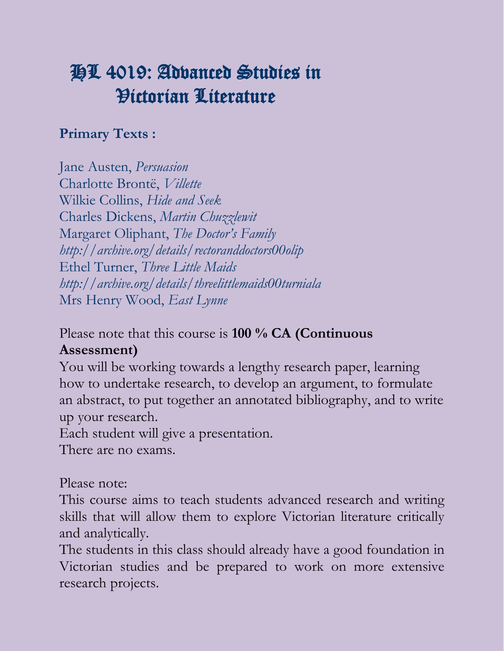# HL 4019: Advanced Studies in Victorian Literature

#### **Primary Texts :**

Jane Austen, *Persuasion* Charlotte Brontë, *Villette* Wilkie Collins, *Hide and Seek* Charles Dickens, *Martin Chuzzlewit* Margaret Oliphant, *The Doctor's Family http://archive.org/details/rectoranddoctors00olip* Ethel Turner, *Three Little Maids http://archive.org/details/threelittlemaids00turniala* Mrs Henry Wood, *East Lynne*

Please note that this course is **100 % CA (Continuous** 

#### **Assessment)**

You will be working towards a lengthy research paper, learning how to undertake research, to develop an argument, to formulate an abstract, to put together an annotated bibliography, and to write up your research.

Each student will give a presentation.

There are no exams.

#### Please note:

This course aims to teach students advanced research and writing skills that will allow them to explore Victorian literature critically and analytically.

The students in this class should already have a good foundation in Victorian studies and be prepared to work on more extensive research projects.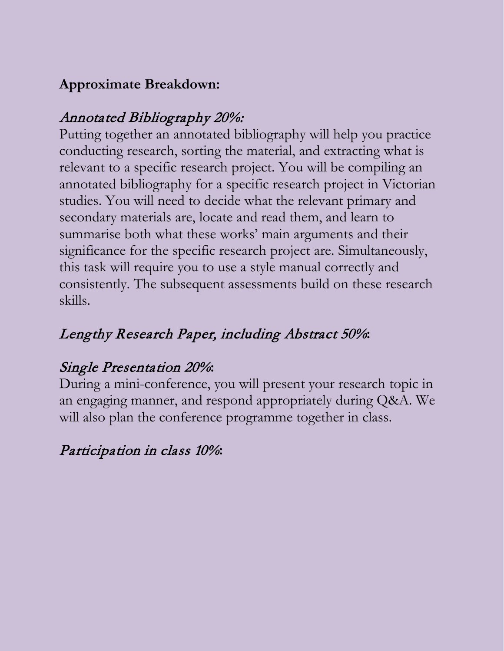## **Approximate Breakdown:**

## Annotated Bibliography 20%:

Putting together an annotated bibliography will help you practice conducting research, sorting the material, and extracting what is relevant to a specific research project. You will be compiling an annotated bibliography for a specific research project in Victorian studies. You will need to decide what the relevant primary and secondary materials are, locate and read them, and learn to summarise both what these works' main arguments and their significance for the specific research project are. Simultaneously, this task will require you to use a style manual correctly and consistently. The subsequent assessments build on these research skills.

# Lengthy Research Paper, including Abstract 50%**:**

## Single Presentation 20%**:**

During a mini-conference, you will present your research topic in an engaging manner, and respond appropriately during Q&A. We will also plan the conference programme together in class.

# Participation in class 10%**:**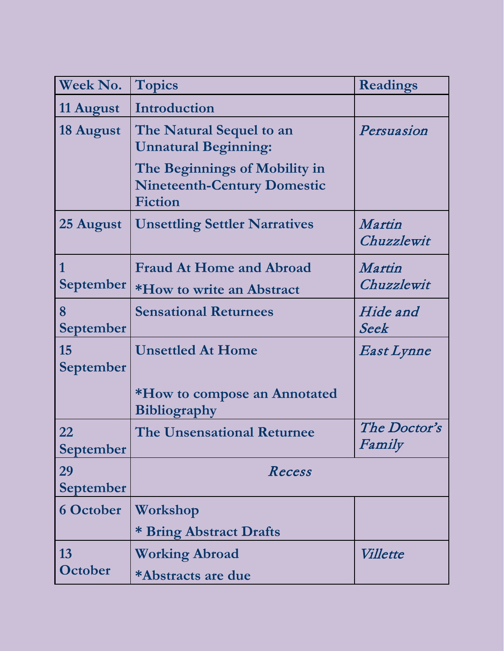| <b>Week No.</b>        | <b>Topics</b>                                                                                                                                    | <b>Readings</b>        |
|------------------------|--------------------------------------------------------------------------------------------------------------------------------------------------|------------------------|
| 11 August              | Introduction                                                                                                                                     |                        |
| 18 August              | The Natural Sequel to an<br><b>Unnatural Beginning:</b><br>The Beginnings of Mobility in<br><b>Nineteenth-Century Domestic</b><br><b>Fiction</b> | Persuasion             |
| 25 August              | <b>Unsettling Settler Narratives</b>                                                                                                             | Martin<br>Chuzzlewit   |
| 1<br><b>September</b>  | <b>Fraud At Home and Abroad</b><br>*How to write an Abstract                                                                                     | Martin<br>Chuzzlewit   |
| 8<br><b>September</b>  | <b>Sensational Returnees</b>                                                                                                                     | Hide and<br>Seek       |
| 15<br><b>September</b> | <b>Unsettled At Home</b><br>*How to compose an Annotated<br><b>Bibliography</b>                                                                  | East Lynne             |
| 22<br>September        | <b>The Unsensational Returnee</b>                                                                                                                | The Doctor's<br>Family |
| 29<br><b>September</b> | Recess                                                                                                                                           |                        |
| <b>6 October</b>       | Workshop<br>* Bring Abstract Drafts                                                                                                              |                        |
| 13<br>October          | <b>Working Abroad</b><br>*Abstracts are due                                                                                                      | <i>Villette</i>        |